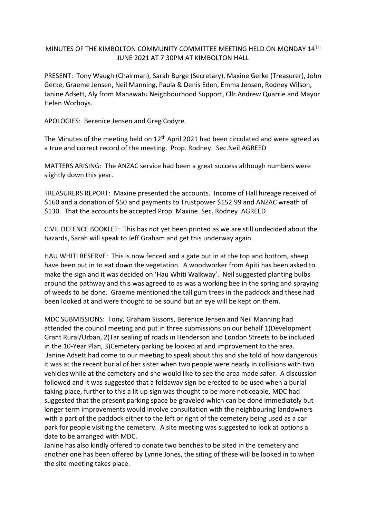## MINUTES OF THE KIMBOLTON COMMUNITY COMMITTEE MEETING HELD ON MONDAY 14TH JUNE 2021 AT 7.30PM AT KIMBOLTON HALL

PRESENT: Tony Waugh (Chairman), Sarah Burge (Secretary), Maxine Gerke (Treasurer), John Gerke, Graeme Jensen, Neil Manning, Paula & Denis Eden, Emma Jensen, Rodney Wilson, Janine Adsett, Aly from Manawatu Neighbourhood Support, Cllr.Andrew Quarrie and Mayor Helen Worboys.

APOLOGIES: Berenice Jensen and Greg Codyre.

The Minutes of the meeting held on 12<sup>th</sup> April 2021 had been circulated and were agreed as a true and correct record of the meeting. Prop. Rodney. Sec.Neil AGREED

MATTERS ARISING: The ANZAC service had been a great success although numbers were slightly down this year.

TREASURERS REPORT: Maxine presented the accounts. Income of Hall hireage received of \$160 and a donation of \$50 and payments to Trustpower \$152.99 and ANZAC wreath of \$130. That the accounts be accepted Prop. Maxine. Sec. Rodney AGREED

CIVIL DEFENCE BOOKLET: This has not yet been printed as we are still undecided about the hazards, Sarah will speak to Jeff Graham and get this underway again.

HAU WHITI RESERVE: This is now fenced and a gate put in at the top and bottom, sheep have been put in to eat down the vegetation. A woodworker from Apiti has been asked to make the sign and it was decided on 'Hau Whiti Walkway'. Neil suggested planting bulbs around the pathway and this was agreed to as was a working bee in the spring and spraying of weeds to be done. Graeme mentioned the tall gum trees in the paddock and these had been looked at and were thought to be sound but an eye will be kept on them.

MDC SUBMISSIONS: Tony, Graham Sissons, Berenice Jensen and Neil Manning had attended the council meeting and put in three submissions on our behalf 1)Development Grant Rural/Urban, 2)Tar sealing of roads in Henderson and London Streets to be included in the 10-Year Plan, 3)Cemetery parking be looked at and improvement to the area. Janine Adsett had come to our meeting to speak about this and she told of how dangerous it was at the recent burial of her sister when two people were nearly in collisions with two vehicles while at the cemetery and she would like to see the area made safer. A discussion followed and it was suggested that a foldaway sign be erected to be used when a burial taking place, further to this a lit up sign was thought to be more noticeable, MDC had suggested that the present parking space be graveled which can be done immediately but longer term improvements would involve consultation with the neighbouring landowners with a part of the paddock either to the left or right of the cemetery being used as a car park for people visiting the cemetery. A site meeting was suggested to look at options a date to be arranged with MDC.

Janine has also kindly offered to donate two benches to be sited in the cemetery and another one has been offered by Lynne Jones, the siting of these will be looked in to when the site meeting takes place.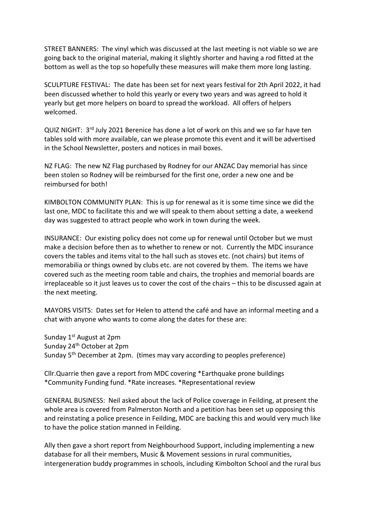STREET BANNERS: The vinyl which was discussed at the last meeting is not viable so we are going back to the original material, making it slightly shorter and having a rod fitted at the bottom as well as the top so hopefully these measures will make them more long lasting.

SCULPTURE FESTIVAL: The date has been set for next years festival for 2th April 2022, it had been discussed whether to hold this yearly or every two years and was agreed to hold it yearly but get more helpers on board to spread the workload. All offers of helpers welcomed.

QUIZ NIGHT: 3<sup>rd</sup> July 2021 Berenice has done a lot of work on this and we so far have ten tables sold with more available, can we please promote this event and it will be advertised in the School Newsletter, posters and notices in mail boxes.

NZ FLAG: The new NZ Flag purchased by Rodney for our ANZAC Day memorial has since been stolen so Rodney will be reimbursed for the first one, order a new one and be reimbursed for both!

KIMBOLTON COMMUNITY PLAN: This is up for renewal as it is some time since we did the last one, MDC to facilitate this and we will speak to them about setting a date, a weekend day was suggested to attract people who work in town during the week.

INSURANCE: Our existing policy does not come up for renewal until October but we must make a decision before then as to whether to renew or not. Currently the MDC insurance covers the tables and items vital to the hall such as stoves etc. (not chairs) but items of memorabilia or things owned by clubs etc. are not covered by them. The items we have covered such as the meeting room table and chairs, the trophies and memorial boards are irreplaceable so it just leaves us to cover the cost of the chairs – this to be discussed again at the next meeting.

MAYORS VISITS: Dates set for Helen to attend the café and have an informal meeting and a chat with anyone who wants to come along the dates for these are:

Sunday  $1^{st}$  August at 2pm Sunday 24<sup>th</sup> October at 2pm Sunday 5th December at 2pm. (times may vary according to peoples preference)

Cllr.Quarrie then gave a report from MDC covering \*Earthquake prone buildings \*Community Funding fund. \*Rate increases. \*Representational review

GENERAL BUSINESS: Neil asked about the lack of Police coverage in Feilding, at present the whole area is covered from Palmerston North and a petition has been set up opposing this and reinstating a police presence in Feilding, MDC are backing this and would very much like to have the police station manned in Feilding.

Ally then gave a short report from Neighbourhood Support, including implementing a new database for all their members, Music & Movement sessions in rural communities, intergeneration buddy programmes in schools, including Kimbolton School and the rural bus